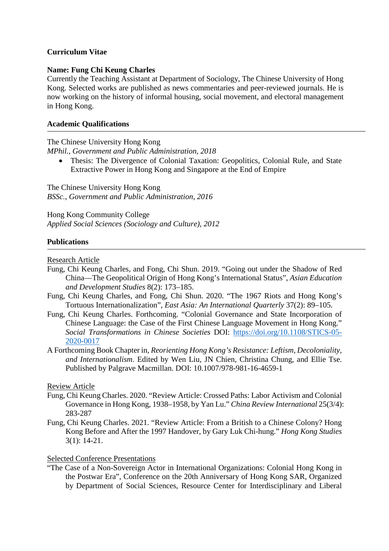## **Curriculum Vitae**

#### **Name: Fung Chi Keung Charles**

Currently the Teaching Assistant at Department of Sociology, The Chinese University of Hong Kong. Selected works are published as news commentaries and peer-reviewed journals. He is now working on the history of informal housing, social movement, and electoral management in Hong Kong.

## **Academic Qualifications**

The Chinese University Hong Kong *MPhil., Government and Public Administration, 2018*

• Thesis: The Divergence of Colonial Taxation: Geopolitics, Colonial Rule, and State Extractive Power in Hong Kong and Singapore at the End of Empire

The Chinese University Hong Kong *BSSc., Government and Public Administration, 2016*

Hong Kong Community College *Applied Social Sciences (Sociology and Culture), 2012*

## **Publications**

Research Article

- Fung, Chi Keung Charles, and Fong, Chi Shun. 2019. "Going out under the Shadow of Red China—The Geopolitical Origin of Hong Kong's International Status", *Asian Education and Development Studies* 8(2): 173–185.
- Fung, Chi Keung Charles, and Fong, Chi Shun. 2020. "The 1967 Riots and Hong Kong's Tortuous Internationalization", *East Asia: An International Quarterly* 37(2): 89–105.
- Fung, Chi Keung Charles. Forthcoming. "Colonial Governance and State Incorporation of Chinese Language: the Case of the First Chinese Language Movement in Hong Kong." *Social Transformations in Chinese Societies* DOI: [https://doi.org/10.1108/STICS-05-](https://doi.org/10.1108/STICS-05-2020-0017) [2020-0017](https://doi.org/10.1108/STICS-05-2020-0017)
- A Forthcoming Book Chapter in, *Reorienting Hong Kong's Resistance: Leftism, Decoloniality, and Internationalism*. Edited by Wen Liu, JN Chien, Christina Chung, and Ellie Tse. Published by Palgrave Macmillan. DOI: 10.1007/978-981-16-4659-1

Review Article

- Fung, Chi Keung Charles. 2020. "Review Article: Crossed Paths: Labor Activism and Colonial Governance in Hong Kong, 1938–1958, by Yan Lu." *China Review International* 25(3/4): 283-287
- Fung, Chi Keung Charles. 2021. "Review Article: From a British to a Chinese Colony? Hong Kong Before and After the 1997 Handover, by Gary Luk Chi-hung." *Hong Kong Studies* 3(1): 14-21.

# Selected Conference Presentations

"The Case of a Non-Sovereign Actor in International Organizations: Colonial Hong Kong in the Postwar Era", Conference on the 20th Anniversary of Hong Kong SAR, Organized by Department of Social Sciences, Resource Center for Interdisciplinary and Liberal